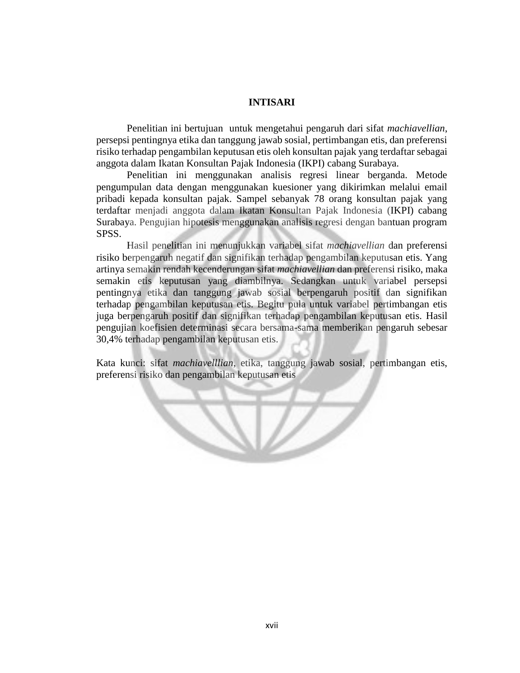## **INTISARI**

Penelitian ini bertujuan untuk mengetahui pengaruh dari sifat *machiavellian*, persepsi pentingnya etika dan tanggung jawab sosial, pertimbangan etis, dan preferensi risiko terhadap pengambilan keputusan etis oleh konsultan pajak yang terdaftar sebagai anggota dalam Ikatan Konsultan Pajak Indonesia (IKPI) cabang Surabaya.

Penelitian ini menggunakan analisis regresi linear berganda. Metode pengumpulan data dengan menggunakan kuesioner yang dikirimkan melalui email pribadi kepada konsultan pajak. Sampel sebanyak 78 orang konsultan pajak yang terdaftar menjadi anggota dalam Ikatan Konsultan Pajak Indonesia (IKPI) cabang Surabaya. Pengujian hipotesis menggunakan analisis regresi dengan bantuan program SPSS.

Hasil penelitian ini menunjukkan variabel sifat *machiavellian* dan preferensi risiko berpengaruh negatif dan signifikan terhadap pengambilan keputusan etis. Yang artinya semakin rendah kecenderungan sifat *machiavellian* dan preferensi risiko, maka semakin etis keputusan yang diambilnya. Sedangkan untuk variabel persepsi pentingnya etika dan tanggung jawab sosial berpengaruh positif dan signifikan terhadap pengambilan keputusan etis. Begitu pula untuk variabel pertimbangan etis juga berpengaruh positif dan signifikan terhadap pengambilan keputusan etis. Hasil pengujian koefisien determinasi secara bersama-sama memberikan pengaruh sebesar 30,4% terhadap pengambilan keputusan etis.

Kata kunci: sifat *machiavelllian*, etika, tanggung jawab sosial, pertimbangan etis, preferensi risiko dan pengambilan keputusan etis